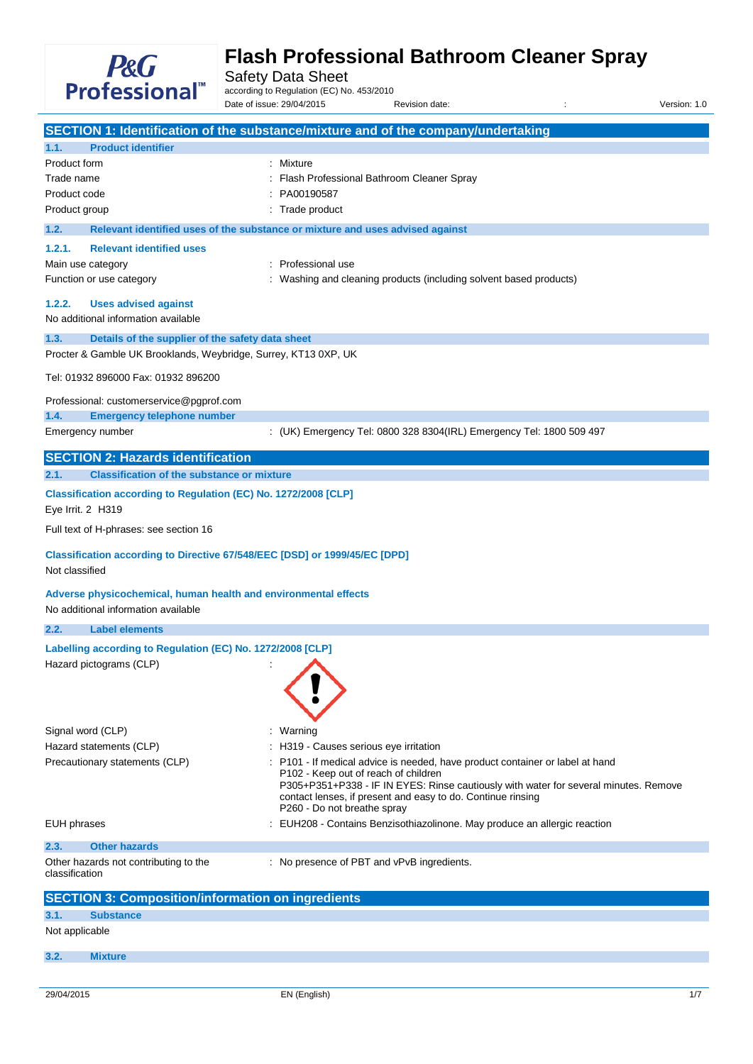

Safety Data Sheet

according to Regulation (EC) No. 453/2010 Date of issue: 29/04/2015 Revision date: <br>
Revision date: 
Revision date:

|                          |                                                                                                        | SECTION 1: Identification of the substance/mixture and of the company/undertaking                                                                                                                                          |  |  |  |
|--------------------------|--------------------------------------------------------------------------------------------------------|----------------------------------------------------------------------------------------------------------------------------------------------------------------------------------------------------------------------------|--|--|--|
| 1.1.                     | <b>Product identifier</b>                                                                              |                                                                                                                                                                                                                            |  |  |  |
| Product form             |                                                                                                        | : Mixture                                                                                                                                                                                                                  |  |  |  |
| Trade name               |                                                                                                        | Flash Professional Bathroom Cleaner Spray                                                                                                                                                                                  |  |  |  |
| Product code             |                                                                                                        | PA00190587                                                                                                                                                                                                                 |  |  |  |
| Product group            |                                                                                                        | Trade product                                                                                                                                                                                                              |  |  |  |
| 1.2.                     |                                                                                                        | Relevant identified uses of the substance or mixture and uses advised against                                                                                                                                              |  |  |  |
| 1.2.1.                   | <b>Relevant identified uses</b>                                                                        |                                                                                                                                                                                                                            |  |  |  |
| Main use category        |                                                                                                        | Professional use                                                                                                                                                                                                           |  |  |  |
|                          | Function or use category                                                                               | Washing and cleaning products (including solvent based products)                                                                                                                                                           |  |  |  |
| 1.2.2.                   | <b>Uses advised against</b><br>No additional information available                                     |                                                                                                                                                                                                                            |  |  |  |
| 1.3.                     | Details of the supplier of the safety data sheet                                                       |                                                                                                                                                                                                                            |  |  |  |
|                          | Procter & Gamble UK Brooklands, Weybridge, Surrey, KT13 0XP, UK                                        |                                                                                                                                                                                                                            |  |  |  |
|                          | Tel: 01932 896000 Fax: 01932 896200                                                                    |                                                                                                                                                                                                                            |  |  |  |
|                          | Professional: customerservice@pgprof.com                                                               |                                                                                                                                                                                                                            |  |  |  |
| 1.4.                     | <b>Emergency telephone number</b>                                                                      |                                                                                                                                                                                                                            |  |  |  |
| Emergency number         |                                                                                                        | : (UK) Emergency Tel: 0800 328 8304(IRL) Emergency Tel: 1800 509 497                                                                                                                                                       |  |  |  |
|                          | <b>SECTION 2: Hazards identification</b>                                                               |                                                                                                                                                                                                                            |  |  |  |
| 2.1.                     | <b>Classification of the substance or mixture</b>                                                      |                                                                                                                                                                                                                            |  |  |  |
| Eye Irrit. 2 H319        | Classification according to Regulation (EC) No. 1272/2008 [CLP]                                        |                                                                                                                                                                                                                            |  |  |  |
|                          | Full text of H-phrases: see section 16                                                                 |                                                                                                                                                                                                                            |  |  |  |
| Not classified           | Classification according to Directive 67/548/EEC [DSD] or 1999/45/EC [DPD]                             |                                                                                                                                                                                                                            |  |  |  |
|                          | Adverse physicochemical, human health and environmental effects<br>No additional information available |                                                                                                                                                                                                                            |  |  |  |
| 2.2.                     | <b>Label elements</b>                                                                                  |                                                                                                                                                                                                                            |  |  |  |
|                          | Labelling according to Regulation (EC) No. 1272/2008 [CLP]                                             |                                                                                                                                                                                                                            |  |  |  |
|                          | Hazard pictograms (CLP)                                                                                |                                                                                                                                                                                                                            |  |  |  |
|                          |                                                                                                        |                                                                                                                                                                                                                            |  |  |  |
| Signal word (CLP)        |                                                                                                        | Warning                                                                                                                                                                                                                    |  |  |  |
|                          | Hazard statements (CLP)<br>Precautionary statements (CLP)                                              | : H319 - Causes serious eye irritation<br>: P101 - If medical advice is needed, have product container or label at hand                                                                                                    |  |  |  |
|                          |                                                                                                        | P102 - Keep out of reach of children<br>P305+P351+P338 - IF IN EYES: Rinse cautiously with water for several minutes. Remove<br>contact lenses, if present and easy to do. Continue rinsing<br>P260 - Do not breathe spray |  |  |  |
| <b>EUH</b> phrases       |                                                                                                        | : EUH208 - Contains Benzisothiazolinone. May produce an allergic reaction                                                                                                                                                  |  |  |  |
| 2.3.                     | <b>Other hazards</b>                                                                                   |                                                                                                                                                                                                                            |  |  |  |
| classification           | Other hazards not contributing to the                                                                  | : No presence of PBT and vPvB ingredients.                                                                                                                                                                                 |  |  |  |
|                          | <b>SECTION 3: Composition/information on ingredients</b>                                               |                                                                                                                                                                                                                            |  |  |  |
| <b>Substance</b><br>3.1. |                                                                                                        |                                                                                                                                                                                                                            |  |  |  |
|                          | Not applicable                                                                                         |                                                                                                                                                                                                                            |  |  |  |
| 3.2.                     | <b>Mixture</b>                                                                                         |                                                                                                                                                                                                                            |  |  |  |
|                          |                                                                                                        |                                                                                                                                                                                                                            |  |  |  |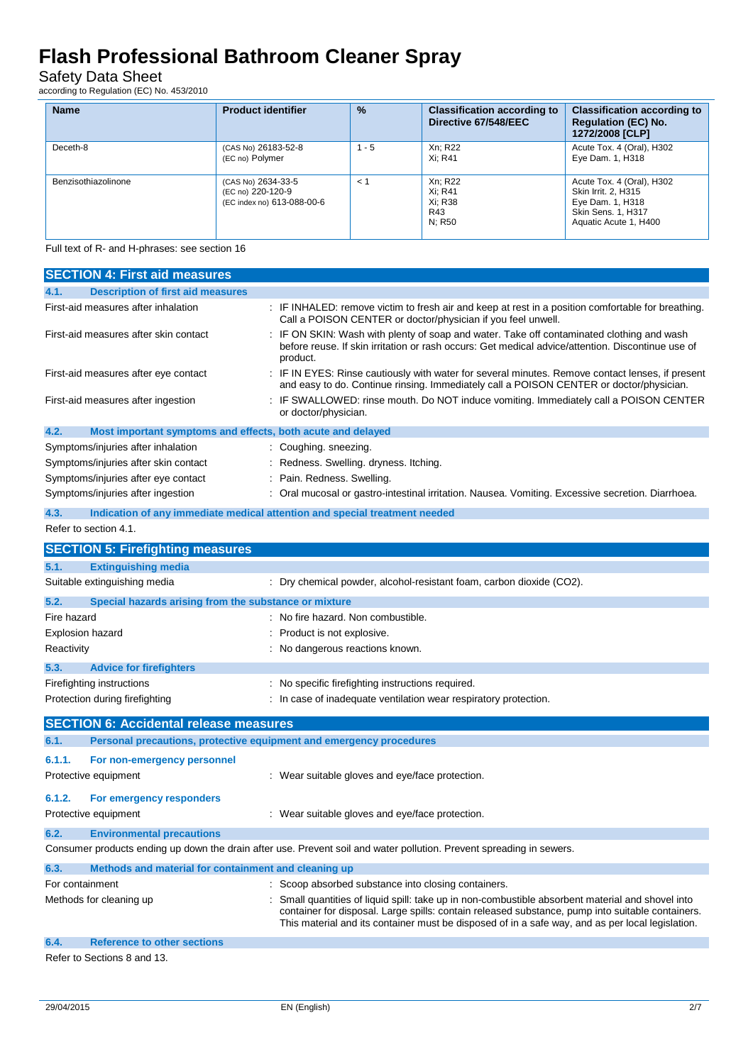Safety Data Sheet

according to Regulation (EC) No. 453/2010

| <b>Name</b>         | <b>Product identifier</b>                                             | $\%$    | <b>Classification according to</b><br>Directive 67/548/EEC | <b>Classification according to</b><br><b>Regulation (EC) No.</b><br>1272/2008 [CLP]                                 |
|---------------------|-----------------------------------------------------------------------|---------|------------------------------------------------------------|---------------------------------------------------------------------------------------------------------------------|
| Deceth-8            | (CAS No) 26183-52-8<br>(EC no) Polymer                                | $1 - 5$ | Xn: R22<br>Xi: R41                                         | Acute Tox. 4 (Oral), H302<br>Eye Dam. 1, H318                                                                       |
| Benzisothiazolinone | (CAS No) 2634-33-5<br>(EC no) 220-120-9<br>(EC index no) 613-088-00-6 | $\lt 1$ | Xn: R22<br>Xi: R41<br>Xi: R38<br>R43<br>N: R50             | Acute Tox. 4 (Oral), H302<br>Skin Irrit. 2, H315<br>Eye Dam. 1, H318<br>Skin Sens. 1, H317<br>Aquatic Acute 1, H400 |

Full text of R- and H-phrases: see section 16

| <b>SECTION 4: First aid measures</b>                                               |                                                                                                                                                                                                                                                                                                         |  |  |
|------------------------------------------------------------------------------------|---------------------------------------------------------------------------------------------------------------------------------------------------------------------------------------------------------------------------------------------------------------------------------------------------------|--|--|
| <b>Description of first aid measures</b><br>4.1.                                   |                                                                                                                                                                                                                                                                                                         |  |  |
| First-aid measures after inhalation                                                | : IF INHALED: remove victim to fresh air and keep at rest in a position comfortable for breathing.<br>Call a POISON CENTER or doctor/physician if you feel unwell.                                                                                                                                      |  |  |
| First-aid measures after skin contact                                              | IF ON SKIN: Wash with plenty of soap and water. Take off contaminated clothing and wash<br>before reuse. If skin irritation or rash occurs: Get medical advice/attention. Discontinue use of<br>product.                                                                                                |  |  |
| First-aid measures after eye contact                                               | IF IN EYES: Rinse cautiously with water for several minutes. Remove contact lenses, if present<br>and easy to do. Continue rinsing. Immediately call a POISON CENTER or doctor/physician.                                                                                                               |  |  |
| First-aid measures after ingestion                                                 | IF SWALLOWED: rinse mouth. Do NOT induce vomiting. Immediately call a POISON CENTER<br>or doctor/physician.                                                                                                                                                                                             |  |  |
| 4.2.<br>Most important symptoms and effects, both acute and delayed                |                                                                                                                                                                                                                                                                                                         |  |  |
| Symptoms/injuries after inhalation                                                 | : Coughing. sneezing.                                                                                                                                                                                                                                                                                   |  |  |
| Symptoms/injuries after skin contact                                               | Redness. Swelling. dryness. Itching.                                                                                                                                                                                                                                                                    |  |  |
| Symptoms/injuries after eye contact                                                | Pain. Redness. Swelling.                                                                                                                                                                                                                                                                                |  |  |
| Symptoms/injuries after ingestion                                                  | Oral mucosal or gastro-intestinal irritation. Nausea. Vomiting. Excessive secretion. Diarrhoea.                                                                                                                                                                                                         |  |  |
| Indication of any immediate medical attention and special treatment needed<br>4.3. |                                                                                                                                                                                                                                                                                                         |  |  |
| Refer to section 4.1.                                                              |                                                                                                                                                                                                                                                                                                         |  |  |
| <b>SECTION 5: Firefighting measures</b>                                            |                                                                                                                                                                                                                                                                                                         |  |  |
| 5.1.<br><b>Extinguishing media</b>                                                 |                                                                                                                                                                                                                                                                                                         |  |  |
| Suitable extinguishing media                                                       | Dry chemical powder, alcohol-resistant foam, carbon dioxide (CO2).                                                                                                                                                                                                                                      |  |  |
| 5.2.<br>Special hazards arising from the substance or mixture                      |                                                                                                                                                                                                                                                                                                         |  |  |
| Fire hazard                                                                        | : No fire hazard. Non combustible.                                                                                                                                                                                                                                                                      |  |  |
| <b>Explosion hazard</b>                                                            | Product is not explosive.                                                                                                                                                                                                                                                                               |  |  |
| Reactivity                                                                         | No dangerous reactions known.                                                                                                                                                                                                                                                                           |  |  |
| 5.3.<br><b>Advice for firefighters</b>                                             |                                                                                                                                                                                                                                                                                                         |  |  |
| Firefighting instructions                                                          | No specific firefighting instructions required.                                                                                                                                                                                                                                                         |  |  |
| Protection during firefighting                                                     | In case of inadequate ventilation wear respiratory protection.                                                                                                                                                                                                                                          |  |  |
| <b>SECTION 6: Accidental release measures</b>                                      |                                                                                                                                                                                                                                                                                                         |  |  |
| 6.1.<br>Personal precautions, protective equipment and emergency procedures        |                                                                                                                                                                                                                                                                                                         |  |  |
|                                                                                    |                                                                                                                                                                                                                                                                                                         |  |  |
| 6.1.1.<br>For non-emergency personnel                                              |                                                                                                                                                                                                                                                                                                         |  |  |
| Protective equipment                                                               | : Wear suitable gloves and eye/face protection.                                                                                                                                                                                                                                                         |  |  |
| 6.1.2.<br>For emergency responders                                                 |                                                                                                                                                                                                                                                                                                         |  |  |
| Protective equipment                                                               | : Wear suitable gloves and eye/face protection.                                                                                                                                                                                                                                                         |  |  |
| <b>Environmental precautions</b><br>6.2.                                           |                                                                                                                                                                                                                                                                                                         |  |  |
|                                                                                    | Consumer products ending up down the drain after use. Prevent soil and water pollution. Prevent spreading in sewers.                                                                                                                                                                                    |  |  |
| Methods and material for containment and cleaning up<br>6.3.                       |                                                                                                                                                                                                                                                                                                         |  |  |
| For containment                                                                    | Scoop absorbed substance into closing containers.                                                                                                                                                                                                                                                       |  |  |
| Methods for cleaning up                                                            | Small quantities of liquid spill: take up in non-combustible absorbent material and shovel into<br>container for disposal. Large spills: contain released substance, pump into suitable containers.<br>This material and its container must be disposed of in a safe way, and as per local legislation. |  |  |
| 6.4.<br><b>Reference to other sections</b>                                         |                                                                                                                                                                                                                                                                                                         |  |  |

Refer to Sections 8 and 13.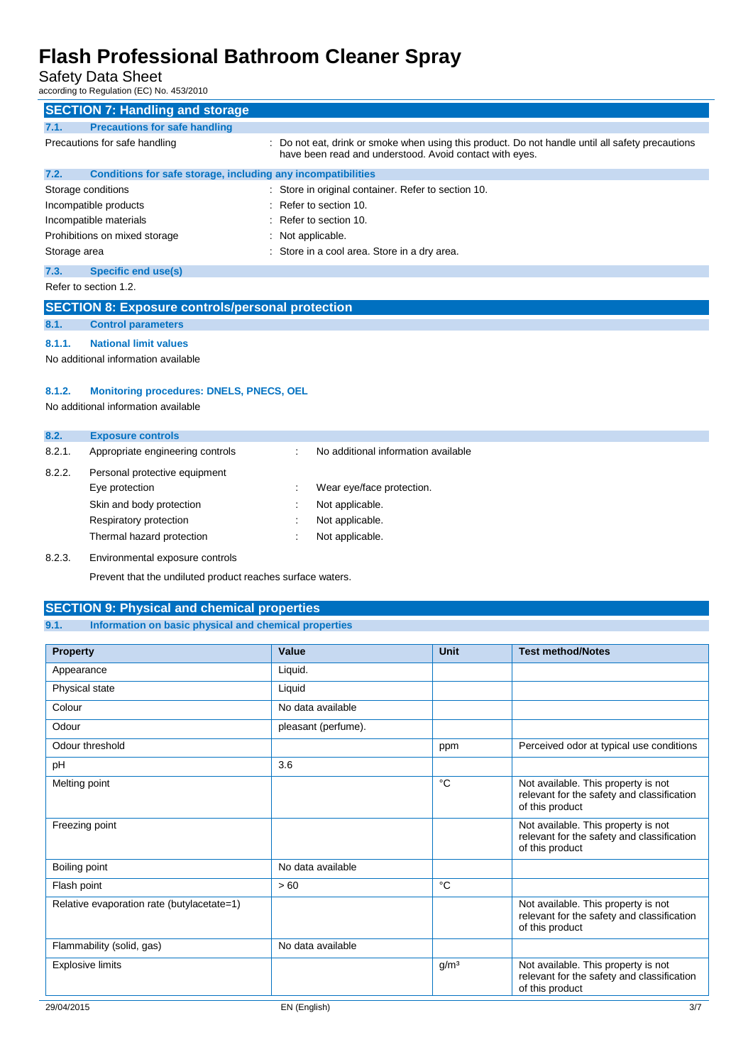Safety Data Sheet

according to Regulation (EC) No. 453/2010

| <b>SECTION 7: Handling and storage</b>                               |                                                                                                                                                             |  |  |  |
|----------------------------------------------------------------------|-------------------------------------------------------------------------------------------------------------------------------------------------------------|--|--|--|
| <b>Precautions for safe handling</b><br>7.1.                         |                                                                                                                                                             |  |  |  |
| Precautions for safe handling                                        | : Do not eat, drink or smoke when using this product. Do not handle until all safety precautions<br>have been read and understood. Avoid contact with eyes. |  |  |  |
| Conditions for safe storage, including any incompatibilities<br>7.2. |                                                                                                                                                             |  |  |  |
| Storage conditions                                                   | : Store in original container. Refer to section 10.                                                                                                         |  |  |  |
| Incompatible products                                                | $\therefore$ Refer to section 10.                                                                                                                           |  |  |  |
| Incompatible materials                                               | $:$ Refer to section 10.                                                                                                                                    |  |  |  |
| Prohibitions on mixed storage                                        | $\therefore$ Not applicable.                                                                                                                                |  |  |  |
| Storage area                                                         | : Store in a cool area. Store in a dry area.                                                                                                                |  |  |  |
| <b>Specific end use(s)</b><br>7.3.                                   |                                                                                                                                                             |  |  |  |
| Refer to section 1.2.                                                |                                                                                                                                                             |  |  |  |
| <b>SECTION 8: Exposure controls/personal protection</b>              |                                                                                                                                                             |  |  |  |

### **8.1. Control parameters**

**8.1.1. National limit values**

No additional information available

#### **8.1.2. Monitoring procedures: DNELS, PNECS, OEL**

No additional information available

| 8.2.   | <b>Exposure controls</b>         |                                     |
|--------|----------------------------------|-------------------------------------|
| 8.2.1. | Appropriate engineering controls | No additional information available |
| 8.2.2. | Personal protective equipment    |                                     |
|        | Eye protection                   | Wear eye/face protection.           |
|        | Skin and body protection         | Not applicable.                     |
|        | Respiratory protection           | Not applicable.                     |
|        | Thermal hazard protection        | Not applicable.                     |
| 8.2.3. | Environmental exposure controls  |                                     |

Prevent that the undiluted product reaches surface waters.

#### **SECTION 9: Physical and chemical properties**

#### **9.1. Information on basic physical and chemical properties**

| <b>Property</b>                            | Value               | <b>Unit</b>      | <b>Test method/Notes</b>                                                                             |
|--------------------------------------------|---------------------|------------------|------------------------------------------------------------------------------------------------------|
| Appearance                                 | Liquid.             |                  |                                                                                                      |
| Physical state                             | Liquid              |                  |                                                                                                      |
| Colour                                     | No data available   |                  |                                                                                                      |
| Odour                                      | pleasant (perfume). |                  |                                                                                                      |
| Odour threshold                            |                     | ppm              | Perceived odor at typical use conditions                                                             |
| pH                                         | 3.6                 |                  |                                                                                                      |
| Melting point                              |                     | °C               | Not available. This property is not<br>relevant for the safety and classification<br>of this product |
| Freezing point                             |                     |                  | Not available. This property is not<br>relevant for the safety and classification<br>of this product |
| Boiling point                              | No data available   |                  |                                                                                                      |
| Flash point                                | > 60                | °C               |                                                                                                      |
| Relative evaporation rate (butylacetate=1) |                     |                  | Not available. This property is not<br>relevant for the safety and classification<br>of this product |
| Flammability (solid, gas)                  | No data available   |                  |                                                                                                      |
| <b>Explosive limits</b>                    |                     | g/m <sup>3</sup> | Not available. This property is not<br>relevant for the safety and classification<br>of this product |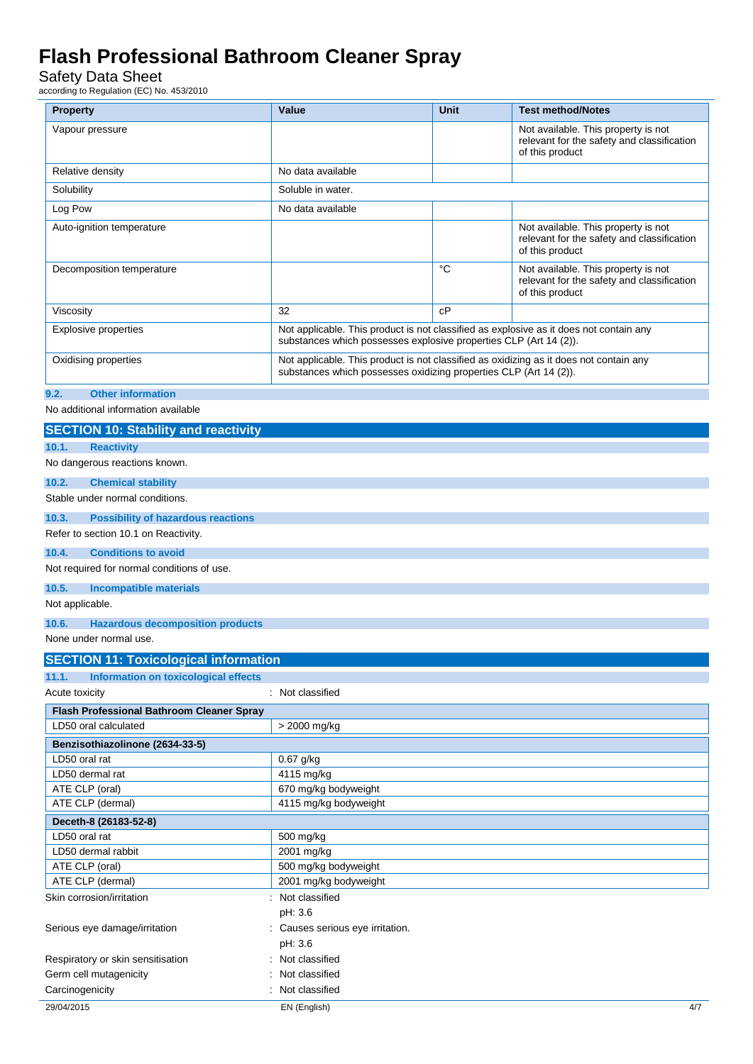### Safety Data Sheet

according to Regulation (EC) No. 453/2010

| <b>Property</b>                  | Value                                                                                                                                                       | <b>Unit</b> | <b>Test method/Notes</b>                                                                             |  |  |
|----------------------------------|-------------------------------------------------------------------------------------------------------------------------------------------------------------|-------------|------------------------------------------------------------------------------------------------------|--|--|
| Vapour pressure                  |                                                                                                                                                             |             | Not available. This property is not<br>relevant for the safety and classification<br>of this product |  |  |
| Relative density                 | No data available                                                                                                                                           |             |                                                                                                      |  |  |
| Solubility                       | Soluble in water.                                                                                                                                           |             |                                                                                                      |  |  |
| Log Pow                          | No data available                                                                                                                                           |             |                                                                                                      |  |  |
| Auto-ignition temperature        |                                                                                                                                                             |             | Not available. This property is not<br>relevant for the safety and classification<br>of this product |  |  |
| Decomposition temperature        |                                                                                                                                                             | °C          | Not available. This property is not<br>relevant for the safety and classification<br>of this product |  |  |
| Viscosity                        | 32                                                                                                                                                          | cP          |                                                                                                      |  |  |
| <b>Explosive properties</b>      | Not applicable. This product is not classified as explosive as it does not contain any<br>substances which possesses explosive properties CLP (Art 14 (2)). |             |                                                                                                      |  |  |
| Oxidising properties             | Not applicable. This product is not classified as oxidizing as it does not contain any<br>substances which possesses oxidizing properties CLP (Art 14 (2)). |             |                                                                                                      |  |  |
| 9.2.<br><b>Other information</b> |                                                                                                                                                             |             |                                                                                                      |  |  |

No additional information available

| <b>SECTION 10: Stability and reactivity</b>          |                                |  |  |  |
|------------------------------------------------------|--------------------------------|--|--|--|
| 10.1.<br><b>Reactivity</b>                           |                                |  |  |  |
| No dangerous reactions known.                        |                                |  |  |  |
| <b>Chemical stability</b><br>10.2.                   |                                |  |  |  |
| Stable under normal conditions.                      |                                |  |  |  |
| <b>Possibility of hazardous reactions</b><br>10.3.   |                                |  |  |  |
| Refer to section 10.1 on Reactivity.                 |                                |  |  |  |
| 10.4.<br><b>Conditions to avoid</b>                  |                                |  |  |  |
| Not required for normal conditions of use.           |                                |  |  |  |
| 10.5.<br><b>Incompatible materials</b>               |                                |  |  |  |
| Not applicable.                                      |                                |  |  |  |
| 10.6.<br><b>Hazardous decomposition products</b>     |                                |  |  |  |
| None under normal use.                               |                                |  |  |  |
| <b>SECTION 11: Toxicological information</b>         |                                |  |  |  |
| 11.1.<br><b>Information on toxicological effects</b> |                                |  |  |  |
| Acute toxicity                                       | : Not classified               |  |  |  |
| <b>Flash Professional Bathroom Cleaner Spray</b>     |                                |  |  |  |
| LD50 oral calculated<br>> 2000 mg/kg                 |                                |  |  |  |
| Benzisothiazolinone (2634-33-5)                      |                                |  |  |  |
| LD50 oral rat                                        | 0.67 g/kg                      |  |  |  |
| LD50 dermal rat                                      | 4115 mg/kg                     |  |  |  |
| ATE CLP (oral)                                       | 670 mg/kg bodyweight           |  |  |  |
| ATE CLP (dermal)                                     | 4115 mg/kg bodyweight          |  |  |  |
| Deceth-8 (26183-52-8)                                |                                |  |  |  |
| LD50 oral rat                                        | 500 mg/kg                      |  |  |  |
| LD50 dermal rabbit                                   | 2001 mg/kg                     |  |  |  |
| ATE CLP (oral)                                       | 500 mg/kg bodyweight           |  |  |  |
| ATE CLP (dermal)                                     | 2001 mg/kg bodyweight          |  |  |  |
| Skin corrosion/irritation                            | Not classified                 |  |  |  |
|                                                      | pH: 3.6                        |  |  |  |
| Serious eye damage/irritation                        | Causes serious eye irritation. |  |  |  |
|                                                      | pH: 3.6                        |  |  |  |
| Respiratory or skin sensitisation                    | Not classified                 |  |  |  |
| Germ cell mutagenicity                               | Not classified                 |  |  |  |
| Carcinogenicity                                      | Not classified                 |  |  |  |
| 29/04/2015                                           | 4/7<br>EN (English)            |  |  |  |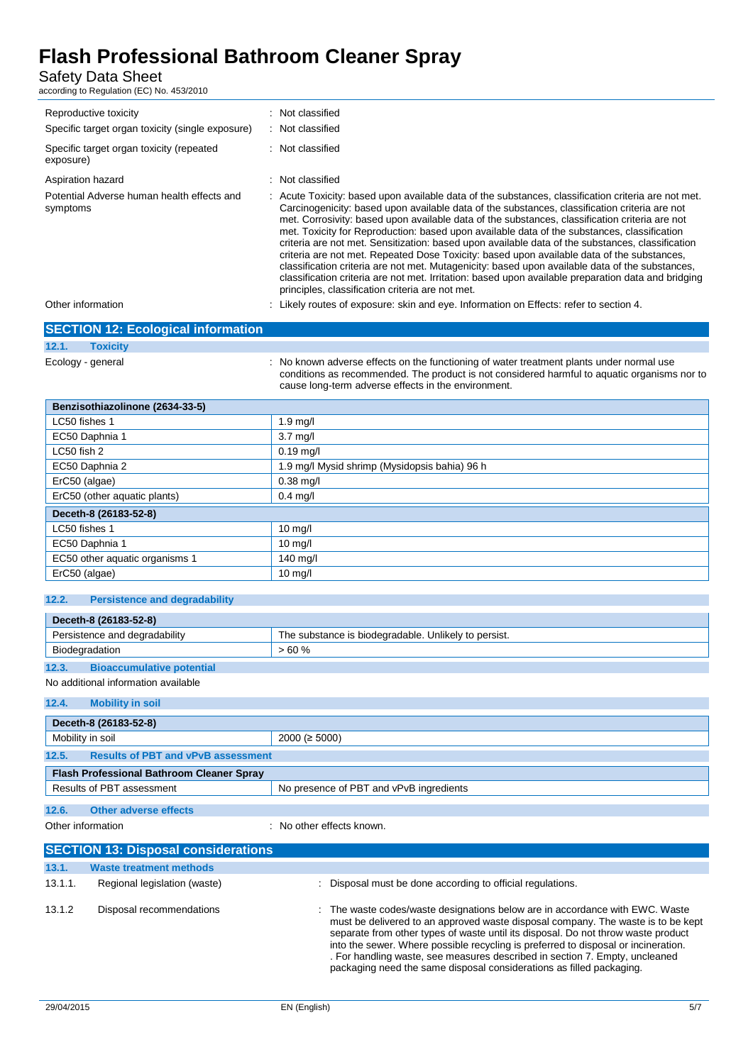Safety Data Sheet

according to Regulation (EC) No. 453/2010

| Reproductive toxicity<br>Specific target organ toxicity (single exposure)<br>Specific target organ toxicity (repeated<br>exposure) | : Not classified<br>Not classified<br>Not classified                                                                                                                                                                                                                                                                                                                                                                                                                                                                                                                                                                                                                                                                                                                                                                                                                  |
|------------------------------------------------------------------------------------------------------------------------------------|-----------------------------------------------------------------------------------------------------------------------------------------------------------------------------------------------------------------------------------------------------------------------------------------------------------------------------------------------------------------------------------------------------------------------------------------------------------------------------------------------------------------------------------------------------------------------------------------------------------------------------------------------------------------------------------------------------------------------------------------------------------------------------------------------------------------------------------------------------------------------|
| Aspiration hazard                                                                                                                  | : Not classified                                                                                                                                                                                                                                                                                                                                                                                                                                                                                                                                                                                                                                                                                                                                                                                                                                                      |
| Potential Adverse human health effects and<br>symptoms                                                                             | : Acute Toxicity: based upon available data of the substances, classification criteria are not met.<br>Carcinogenicity: based upon available data of the substances, classification criteria are not<br>met. Corrosivity: based upon available data of the substances, classification criteria are not<br>met. Toxicity for Reproduction: based upon available data of the substances, classification<br>criteria are not met. Sensitization: based upon available data of the substances, classification<br>criteria are not met. Repeated Dose Toxicity: based upon available data of the substances,<br>classification criteria are not met. Mutagenicity: based upon available data of the substances,<br>classification criteria are not met. Irritation: based upon available preparation data and bridging<br>principles, classification criteria are not met. |
| Other information                                                                                                                  | Likely routes of exposure: skin and eye. Information on Effects: refer to section 4.                                                                                                                                                                                                                                                                                                                                                                                                                                                                                                                                                                                                                                                                                                                                                                                  |

|                   | <b>SECTION 12: Ecological information</b> |                                                                                                                                                                                                                                                 |
|-------------------|-------------------------------------------|-------------------------------------------------------------------------------------------------------------------------------------------------------------------------------------------------------------------------------------------------|
| 12.1.             | <b>Toxicity</b>                           |                                                                                                                                                                                                                                                 |
| Ecology - general |                                           | : No known adverse effects on the functioning of water treatment plants under normal use<br>conditions as recommended. The product is not considered harmful to aquatic organisms nor to<br>cause long-term adverse effects in the environment. |

| Benzisothiazolinone (2634-33-5)               |  |  |  |  |
|-----------------------------------------------|--|--|--|--|
| $1.9$ mg/                                     |  |  |  |  |
| $3.7 \text{ mg/l}$                            |  |  |  |  |
| $0.19$ mg/l                                   |  |  |  |  |
| 1.9 mg/l Mysid shrimp (Mysidopsis bahia) 96 h |  |  |  |  |
| $0.38$ mg/l                                   |  |  |  |  |
| $0.4$ mg/l                                    |  |  |  |  |
| Deceth-8 (26183-52-8)                         |  |  |  |  |
| $10$ mg/l                                     |  |  |  |  |
| $10$ mg/l                                     |  |  |  |  |
| 140 mg/l                                      |  |  |  |  |
| $10$ mg/l                                     |  |  |  |  |
|                                               |  |  |  |  |

#### **12.2. Persistence and degradability**

|                               | Deceth-8 (26183-52-8)            |                                                      |  |  |  |
|-------------------------------|----------------------------------|------------------------------------------------------|--|--|--|
| Persistence and degradability |                                  | The substance is biodegradable. Unlikely to persist. |  |  |  |
| Biodegradation                |                                  | >60%                                                 |  |  |  |
| 12.3.                         | <b>Bioaccumulative potential</b> |                                                      |  |  |  |

### No additional information available

**12.4. Mobility in soil**

| Deceth-8 (26183-52-8)                                                |                 |  |  |
|----------------------------------------------------------------------|-----------------|--|--|
| Mobility in soil                                                     | $2000 (= 5000)$ |  |  |
| 12.5.<br><b>Results of PBT and vPvB assessment</b>                   |                 |  |  |
| <b>Flash Professional Bathroom Cleaner Spray</b>                     |                 |  |  |
| Results of PBT assessment<br>No presence of PBT and vPvB ingredients |                 |  |  |
| 12.6.<br>Other adverse effects                                       |                 |  |  |

| Other information |  |  |
|-------------------|--|--|
|-------------------|--|--|

: No other effects known.

| <b>SECTION 13: Disposal considerations</b> |                                |                                                                                                                                                                                                                                                                                                                                                                                                                                                                                                    |
|--------------------------------------------|--------------------------------|----------------------------------------------------------------------------------------------------------------------------------------------------------------------------------------------------------------------------------------------------------------------------------------------------------------------------------------------------------------------------------------------------------------------------------------------------------------------------------------------------|
| 13.1.                                      | <b>Waste treatment methods</b> |                                                                                                                                                                                                                                                                                                                                                                                                                                                                                                    |
| 13.1.1.                                    | Regional legislation (waste)   | : Disposal must be done according to official regulations.                                                                                                                                                                                                                                                                                                                                                                                                                                         |
| 13.1.2                                     | Disposal recommendations       | : The waste codes/waste designations below are in accordance with EWC. Waste<br>must be delivered to an approved waste disposal company. The waste is to be kept<br>separate from other types of waste until its disposal. Do not throw waste product<br>into the sewer. Where possible recycling is preferred to disposal or incineration.<br>. For handling waste, see measures described in section 7. Empty, uncleaned<br>packaging need the same disposal considerations as filled packaging. |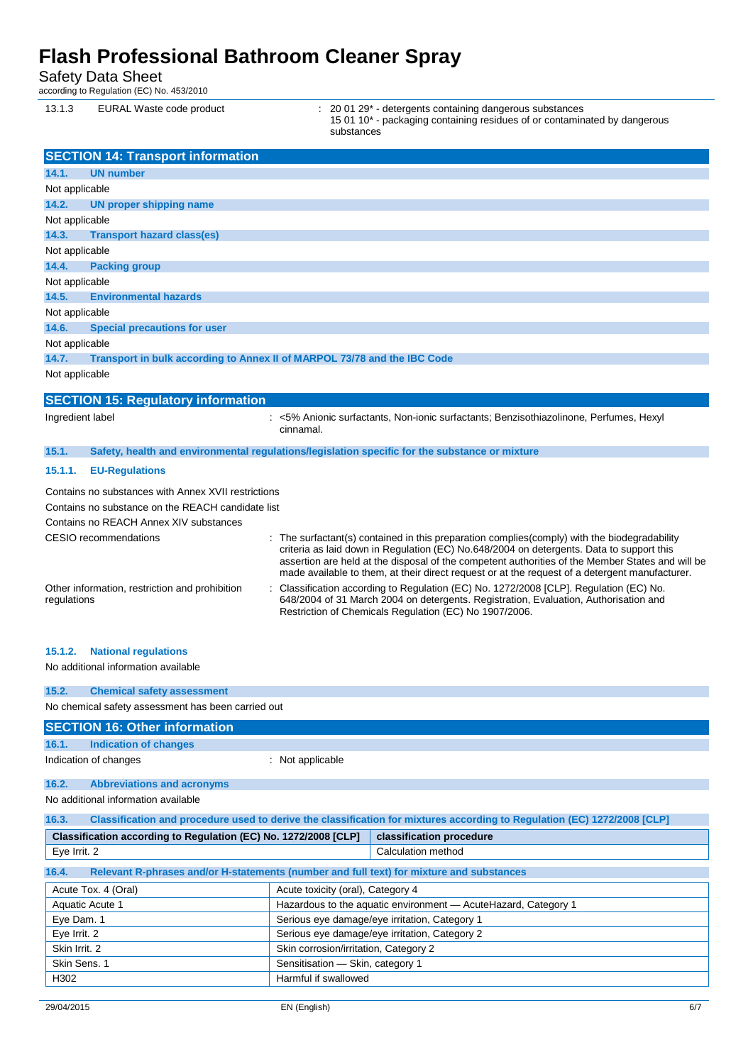Safety Data Sheet

according to Regulation (EC) No. 453/2010

| 13.1.3 | EURAL Waste code product | $\therefore$ 20 01 29 $^*$ - detergents containing dangerous substances   |
|--------|--------------------------|---------------------------------------------------------------------------|
|        |                          | 15 01 10* - packaging containing residues of or contaminated by dangerous |
|        |                          | substances                                                                |

|                  | <b>SECTION 14: Transport information</b>                                                                                                                                    |                                                                                                                                                                                                                                                                                                                                                                                                 |
|------------------|-----------------------------------------------------------------------------------------------------------------------------------------------------------------------------|-------------------------------------------------------------------------------------------------------------------------------------------------------------------------------------------------------------------------------------------------------------------------------------------------------------------------------------------------------------------------------------------------|
| 14.1.            | <b>UN number</b>                                                                                                                                                            |                                                                                                                                                                                                                                                                                                                                                                                                 |
| Not applicable   |                                                                                                                                                                             |                                                                                                                                                                                                                                                                                                                                                                                                 |
| 14.2.            | <b>UN proper shipping name</b>                                                                                                                                              |                                                                                                                                                                                                                                                                                                                                                                                                 |
| Not applicable   |                                                                                                                                                                             |                                                                                                                                                                                                                                                                                                                                                                                                 |
| 14.3.            | <b>Transport hazard class(es)</b>                                                                                                                                           |                                                                                                                                                                                                                                                                                                                                                                                                 |
| Not applicable   |                                                                                                                                                                             |                                                                                                                                                                                                                                                                                                                                                                                                 |
| 14.4.            | <b>Packing group</b>                                                                                                                                                        |                                                                                                                                                                                                                                                                                                                                                                                                 |
| Not applicable   |                                                                                                                                                                             |                                                                                                                                                                                                                                                                                                                                                                                                 |
| 14.5.            | <b>Environmental hazards</b>                                                                                                                                                |                                                                                                                                                                                                                                                                                                                                                                                                 |
| Not applicable   |                                                                                                                                                                             |                                                                                                                                                                                                                                                                                                                                                                                                 |
| 14.6.            | <b>Special precautions for user</b>                                                                                                                                         |                                                                                                                                                                                                                                                                                                                                                                                                 |
| Not applicable   |                                                                                                                                                                             |                                                                                                                                                                                                                                                                                                                                                                                                 |
| 14.7.            |                                                                                                                                                                             | Transport in bulk according to Annex II of MARPOL 73/78 and the IBC Code                                                                                                                                                                                                                                                                                                                        |
| Not applicable   |                                                                                                                                                                             |                                                                                                                                                                                                                                                                                                                                                                                                 |
|                  | <b>SECTION 15: Regulatory information</b>                                                                                                                                   |                                                                                                                                                                                                                                                                                                                                                                                                 |
| Ingredient label |                                                                                                                                                                             | : <5% Anionic surfactants, Non-ionic surfactants; Benzisothiazolinone, Perfumes, Hexyl<br>cinnamal.                                                                                                                                                                                                                                                                                             |
| 15.1.            |                                                                                                                                                                             | Safety, health and environmental regulations/legislation specific for the substance or mixture                                                                                                                                                                                                                                                                                                  |
| 15.1.1.          | <b>EU-Regulations</b>                                                                                                                                                       |                                                                                                                                                                                                                                                                                                                                                                                                 |
|                  | Contains no substances with Annex XVII restrictions<br>Contains no substance on the REACH candidate list<br>Contains no REACH Annex XIV substances<br>CESIO recommendations | : The surfactant(s) contained in this preparation complies (comply) with the biodegradability<br>criteria as laid down in Regulation (EC) No.648/2004 on detergents. Data to support this<br>assertion are held at the disposal of the competent authorities of the Member States and will be<br>made available to them, at their direct request or at the request of a detergent manufacturer. |
| regulations      | Other information, restriction and prohibition                                                                                                                              | Classification according to Regulation (EC) No. 1272/2008 [CLP]. Regulation (EC) No.<br>648/2004 of 31 March 2004 on detergents. Registration, Evaluation, Authorisation and<br>Restriction of Chemicals Regulation (EC) No 1907/2006.                                                                                                                                                          |

#### **15.1.2. National regulations**

No additional information available

| 15.2.                                              | <b>Chemical safety assessment</b> |                  |
|----------------------------------------------------|-----------------------------------|------------------|
| No chemical safety assessment has been carried out |                                   |                  |
| <b>SECTION 16: Other information</b>               |                                   |                  |
| 16.1.                                              | Indication of changes             |                  |
|                                                    | Indication of changes             | : Not applicable |

#### **16.2. Abbreviations and acronyms**

No additional information available

| Classification and procedure used to derive the classification for mixtures according to Regulation (EC) 1272/2008 [CLP]<br>16.3. |                                   |                                                                 |  |
|-----------------------------------------------------------------------------------------------------------------------------------|-----------------------------------|-----------------------------------------------------------------|--|
| Classification according to Regulation (EC) No. 1272/2008 [CLP]<br>classification procedure                                       |                                   |                                                                 |  |
| Eye Irrit. 2                                                                                                                      |                                   | Calculation method                                              |  |
| Relevant R-phrases and/or H-statements (number and full text) for mixture and substances<br>16.4.                                 |                                   |                                                                 |  |
| Acute Tox. 4 (Oral)                                                                                                               | Acute toxicity (oral), Category 4 |                                                                 |  |
| Aquatic Acute 1                                                                                                                   |                                   | Hazardous to the aquatic environment - Acute Hazard, Category 1 |  |
| Eye Dam. 1                                                                                                                        |                                   | Serious eye damage/eye irritation, Category 1                   |  |
| Serious eye damage/eye irritation, Category 2<br>Eye Irrit. 2                                                                     |                                   |                                                                 |  |
| Skin Irrit, 2<br>Skin corrosion/irritation, Category 2                                                                            |                                   |                                                                 |  |
| Skin Sens. 1<br>Sensitisation - Skin, category 1                                                                                  |                                   |                                                                 |  |
| H302<br>Harmful if swallowed                                                                                                      |                                   |                                                                 |  |